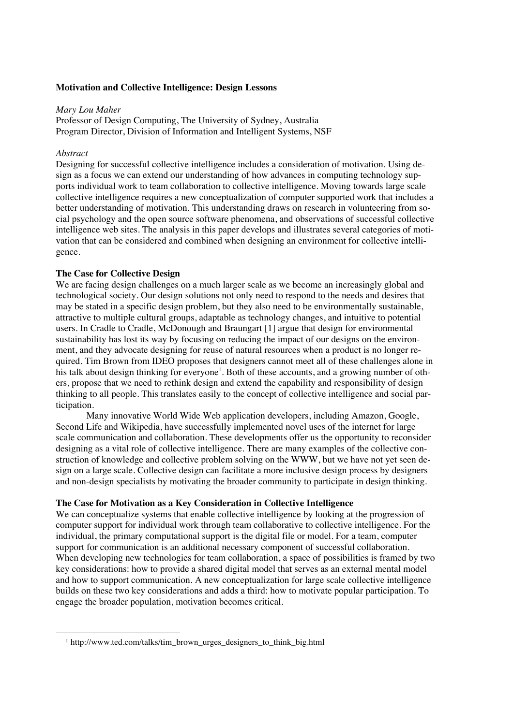## **Motivation and Collective Intelligence: Design Lessons**

### *Mary Lou Maher*

Professor of Design Computing, The University of Sydney, Australia Program Director, Division of Information and Intelligent Systems, NSF

#### *Abstract*

Designing for successful collective intelligence includes a consideration of motivation. Using design as a focus we can extend our understanding of how advances in computing technology supports individual work to team collaboration to collective intelligence. Moving towards large scale collective intelligence requires a new conceptualization of computer supported work that includes a better understanding of motivation. This understanding draws on research in volunteering from social psychology and the open source software phenomena, and observations of successful collective intelligence web sites. The analysis in this paper develops and illustrates several categories of motivation that can be considered and combined when designing an environment for collective intelligence.

#### **The Case for Collective Design**

We are facing design challenges on a much larger scale as we become an increasingly global and technological society. Our design solutions not only need to respond to the needs and desires that may be stated in a specific design problem, but they also need to be environmentally sustainable, attractive to multiple cultural groups, adaptable as technology changes, and intuitive to potential users. In Cradle to Cradle, McDonough and Braungart [1] argue that design for environmental sustainability has lost its way by focusing on reducing the impact of our designs on the environment, and they advocate designing for reuse of natural resources when a product is no longer required. Tim Brown from IDEO proposes that designers cannot meet all of these challenges alone in his talk about design thinking for everyone<sup>1</sup>. Both of these accounts, and a growing number of others, propose that we need to rethink design and extend the capability and responsibility of design thinking to all people. This translates easily to the concept of collective intelligence and social participation.

Many innovative World Wide Web application developers, including Amazon, Google, Second Life and Wikipedia, have successfully implemented novel uses of the internet for large scale communication and collaboration. These developments offer us the opportunity to reconsider designing as a vital role of collective intelligence. There are many examples of the collective construction of knowledge and collective problem solving on the WWW, but we have not yet seen design on a large scale. Collective design can facilitate a more inclusive design process by designers and non-design specialists by motivating the broader community to participate in design thinking.

## **The Case for Motivation as a Key Consideration in Collective Intelligence**

We can conceptualize systems that enable collective intelligence by looking at the progression of computer support for individual work through team collaborative to collective intelligence. For the individual, the primary computational support is the digital file or model. For a team, computer support for communication is an additional necessary component of successful collaboration. When developing new technologies for team collaboration, a space of possibilities is framed by two key considerations: how to provide a shared digital model that serves as an external mental model and how to support communication. A new conceptualization for large scale collective intelligence builds on these two key considerations and adds a third: how to motivate popular participation. To engage the broader population, motivation becomes critical.

<sup>&</sup>lt;sup>1</sup> http://www.ted.com/talks/tim\_brown\_urges\_designers\_to\_think\_big.html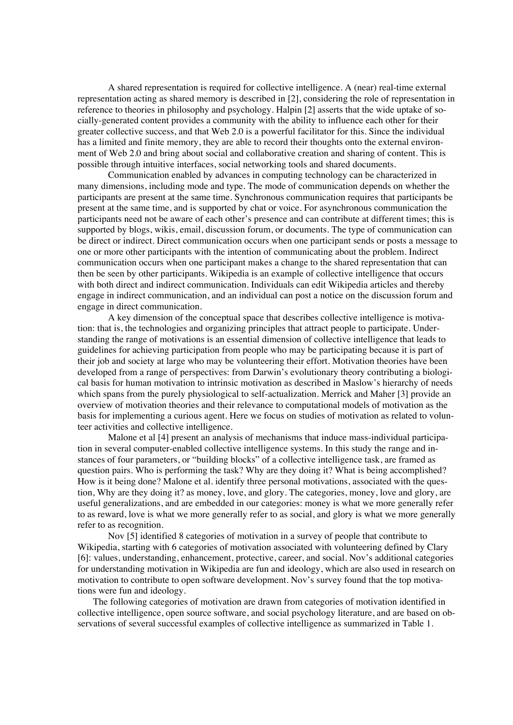A shared representation is required for collective intelligence. A (near) real-time external representation acting as shared memory is described in [2], considering the role of representation in reference to theories in philosophy and psychology. Halpin [2] asserts that the wide uptake of socially-generated content provides a community with the ability to influence each other for their greater collective success, and that Web 2.0 is a powerful facilitator for this. Since the individual has a limited and finite memory, they are able to record their thoughts onto the external environment of Web 2.0 and bring about social and collaborative creation and sharing of content. This is possible through intuitive interfaces, social networking tools and shared documents.

Communication enabled by advances in computing technology can be characterized in many dimensions, including mode and type. The mode of communication depends on whether the participants are present at the same time. Synchronous communication requires that participants be present at the same time, and is supported by chat or voice. For asynchronous communication the participants need not be aware of each other's presence and can contribute at different times; this is supported by blogs, wikis, email, discussion forum, or documents. The type of communication can be direct or indirect. Direct communication occurs when one participant sends or posts a message to one or more other participants with the intention of communicating about the problem. Indirect communication occurs when one participant makes a change to the shared representation that can then be seen by other participants. Wikipedia is an example of collective intelligence that occurs with both direct and indirect communication. Individuals can edit Wikipedia articles and thereby engage in indirect communication, and an individual can post a notice on the discussion forum and engage in direct communication.

A key dimension of the conceptual space that describes collective intelligence is motivation: that is, the technologies and organizing principles that attract people to participate. Understanding the range of motivations is an essential dimension of collective intelligence that leads to guidelines for achieving participation from people who may be participating because it is part of their job and society at large who may be volunteering their effort. Motivation theories have been developed from a range of perspectives: from Darwin's evolutionary theory contributing a biological basis for human motivation to intrinsic motivation as described in Maslow's hierarchy of needs which spans from the purely physiological to self-actualization. Merrick and Maher [3] provide an overview of motivation theories and their relevance to computational models of motivation as the basis for implementing a curious agent. Here we focus on studies of motivation as related to volunteer activities and collective intelligence.

Malone et al [4] present an analysis of mechanisms that induce mass-individual participation in several computer-enabled collective intelligence systems. In this study the range and instances of four parameters, or "building blocks" of a collective intelligence task, are framed as question pairs. Who is performing the task? Why are they doing it? What is being accomplished? How is it being done? Malone et al. identify three personal motivations, associated with the question, Why are they doing it? as money, love, and glory. The categories, money, love and glory, are useful generalizations, and are embedded in our categories: money is what we more generally refer to as reward, love is what we more generally refer to as social, and glory is what we more generally refer to as recognition.

Nov [5] identified 8 categories of motivation in a survey of people that contribute to Wikipedia, starting with 6 categories of motivation associated with volunteering defined by Clary [6]: values, understanding, enhancement, protective, career, and social. Nov's additional categories for understanding motivation in Wikipedia are fun and ideology, which are also used in research on motivation to contribute to open software development. Nov's survey found that the top motivations were fun and ideology.

The following categories of motivation are drawn from categories of motivation identified in collective intelligence, open source software, and social psychology literature, and are based on observations of several successful examples of collective intelligence as summarized in Table 1.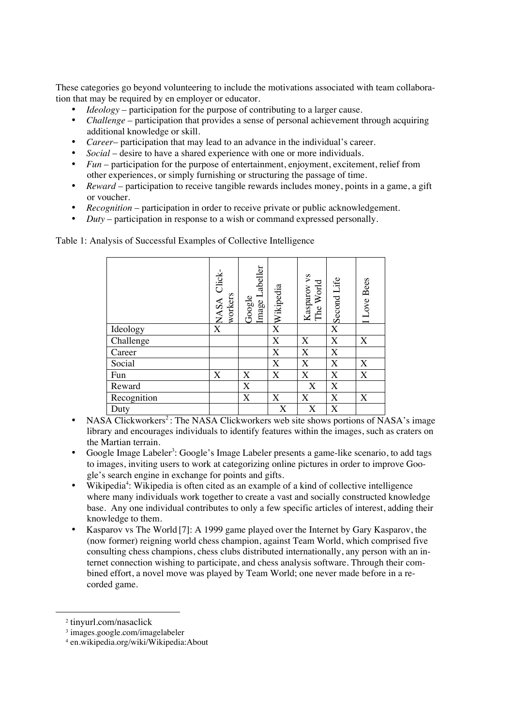These categories go beyond volunteering to include the motivations associated with team collaboration that may be required by en employer or educator.

- *Ideology* participation for the purpose of contributing to a larger cause.
- *Challenge* participation that provides a sense of personal achievement through acquiring additional knowledge or skill.
- *Career* participation that may lead to an advance in the individual's career.
- *Social* desire to have a shared experience with one or more individuals.
- *Fun* participation for the purpose of entertainment, enjoyment, excitement, relief from other experiences, or simply furnishing or structuring the passage of time.
- *Reward* participation to receive tangible rewards includes money, points in a game, a gift or voucher.
- *Recognition* participation in order to receive private or public acknowledgement.
- *Duty* participation in response to a wish or command expressed personally.

Table 1: Analysis of Successful Examples of Collective Intelligence

|             | XNASA Click-<br>workers | Image Labeller<br>Google | Wikipedia             | Kasparov vs<br>The World  | Second Life | I Love Bees |
|-------------|-------------------------|--------------------------|-----------------------|---------------------------|-------------|-------------|
| Ideology    |                         |                          | $\overline{\text{X}}$ |                           | X           |             |
| Challenge   |                         |                          | X                     | X                         | X           | X           |
| Career      |                         |                          | X                     | $\boldsymbol{\mathrm{X}}$ | X           |             |
| Social      |                         |                          | X                     | X                         | X           | X           |
| Fun         | X                       | X                        | X                     | X                         | X           | X           |
| Reward      |                         | X                        |                       | X                         | X           |             |
| Recognition |                         | X                        | X                     | X                         | X           | X           |
| Duty        |                         |                          | X                     | X                         | X           |             |

- NASA Clickworkers<sup>2</sup>: The NASA Clickworkers web site shows portions of NASA's image library and encourages individuals to identify features within the images, such as craters on the Martian terrain.
- Google Image Labeler<sup>3</sup>: Google's Image Labeler presents a game-like scenario, to add tags to images, inviting users to work at categorizing online pictures in order to improve Google's search engine in exchange for points and gifts.
- Wikipedia<sup>4</sup>: Wikipedia is often cited as an example of a kind of collective intelligence where many individuals work together to create a vast and socially constructed knowledge base. Any one individual contributes to only a few specific articles of interest, adding their knowledge to them.
- Kasparov vs The World [7]: A 1999 game played over the Internet by Gary Kasparov, the (now former) reigning world chess champion, against Team World, which comprised five consulting chess champions, chess clubs distributed internationally, any person with an internet connection wishing to participate, and chess analysis software. Through their combined effort, a novel move was played by Team World; one never made before in a recorded game.

 <sup>2</sup> tinyurl.com/nasaclick

<sup>3</sup> images.google.com/imagelabeler

<sup>4</sup> en.wikipedia.org/wiki/Wikipedia:About